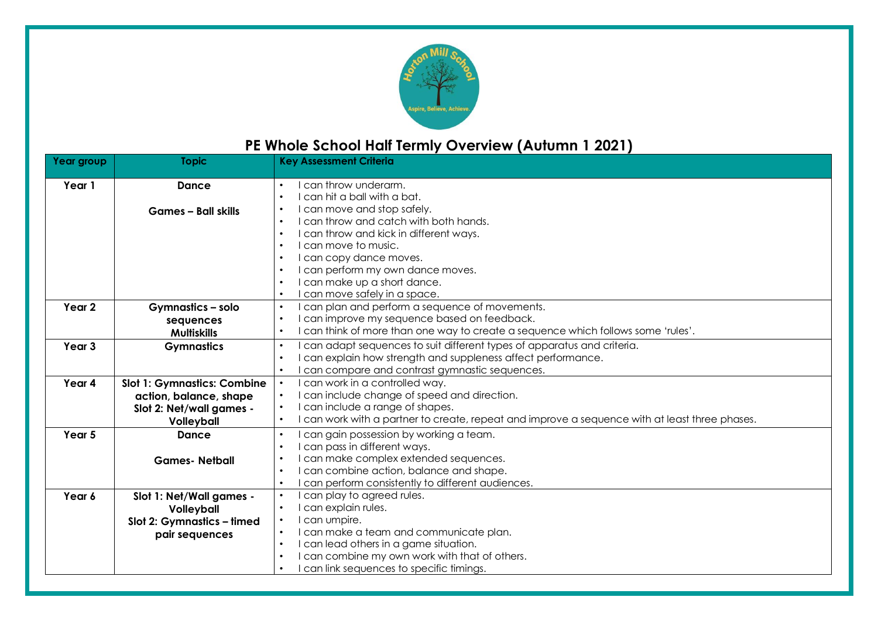

## **PE Whole School Half Termly Overview (Autumn 1 2021)**

| Year group        | <b>Topic</b>                       | <b>Key Assessment Criteria</b>                                                                            |
|-------------------|------------------------------------|-----------------------------------------------------------------------------------------------------------|
| Year 1            | <b>Dance</b>                       | I can throw underarm.<br>$\bullet$                                                                        |
|                   |                                    | I can hit a ball with a bat.<br>$\bullet$                                                                 |
|                   | <b>Games - Ball skills</b>         | I can move and stop safely.<br>$\bullet$                                                                  |
|                   |                                    | I can throw and catch with both hands.<br>$\bullet$                                                       |
|                   |                                    | I can throw and kick in different ways.<br>$\bullet$                                                      |
|                   |                                    | I can move to music.<br>$\bullet$                                                                         |
|                   |                                    | I can copy dance moves.<br>$\bullet$                                                                      |
|                   |                                    | I can perform my own dance moves.<br>$\bullet$                                                            |
|                   |                                    | I can make up a short dance.<br>$\bullet$                                                                 |
|                   |                                    | can move safely in a space.<br>$\bullet$                                                                  |
| Year <sub>2</sub> | Gymnastics - solo                  | I can plan and perform a sequence of movements.<br>$\bullet$                                              |
|                   | sequences                          | I can improve my sequence based on feedback.<br>$\bullet$                                                 |
|                   | <b>Multiskills</b>                 | I can think of more than one way to create a sequence which follows some 'rules'.<br>$\bullet$            |
| Year <sub>3</sub> | <b>Gymnastics</b>                  | can adapt sequences to suit different types of apparatus and criteria.<br>$\bullet$                       |
|                   |                                    | I can explain how strength and suppleness affect performance.<br>$\bullet$                                |
|                   |                                    | can compare and contrast gymnastic sequences.<br>$\bullet$                                                |
| Year 4            | <b>Slot 1: Gymnastics: Combine</b> | $\overline{I}$ can work in a controlled way.<br>$\bullet$                                                 |
|                   | action, balance, shape             | I can include change of speed and direction.<br>$\bullet$                                                 |
|                   | Slot 2: Net/wall games -           | I can include a range of shapes.<br>$\bullet$                                                             |
|                   | Volleyball                         | can work with a partner to create, repeat and improve a sequence with at least three phases.<br>$\bullet$ |
| Year 5            | Dance                              | can gain possession by working a team.<br>$\bullet$                                                       |
|                   |                                    | I can pass in different ways.                                                                             |
|                   | <b>Games-Netball</b>               | I can make complex extended sequences.<br>$\bullet$                                                       |
|                   |                                    | I can combine action, balance and shape.<br>$\bullet$                                                     |
|                   |                                    | can perform consistently to different audiences.<br>$\bullet$                                             |
| Year 6            | Slot 1: Net/Wall games -           | can play to agreed rules.<br>$\bullet$                                                                    |
|                   | Volleyball                         | I can explain rules.<br>$\bullet$                                                                         |
|                   | Slot 2: Gymnastics - timed         | I can umpire.<br>$\bullet$                                                                                |
|                   | pair sequences                     | I can make a team and communicate plan.<br>$\bullet$                                                      |
|                   |                                    | I can lead others in a game situation.<br>$\bullet$                                                       |
|                   |                                    | I can combine my own work with that of others.<br>$\bullet$                                               |
|                   |                                    | can link sequences to specific timings.                                                                   |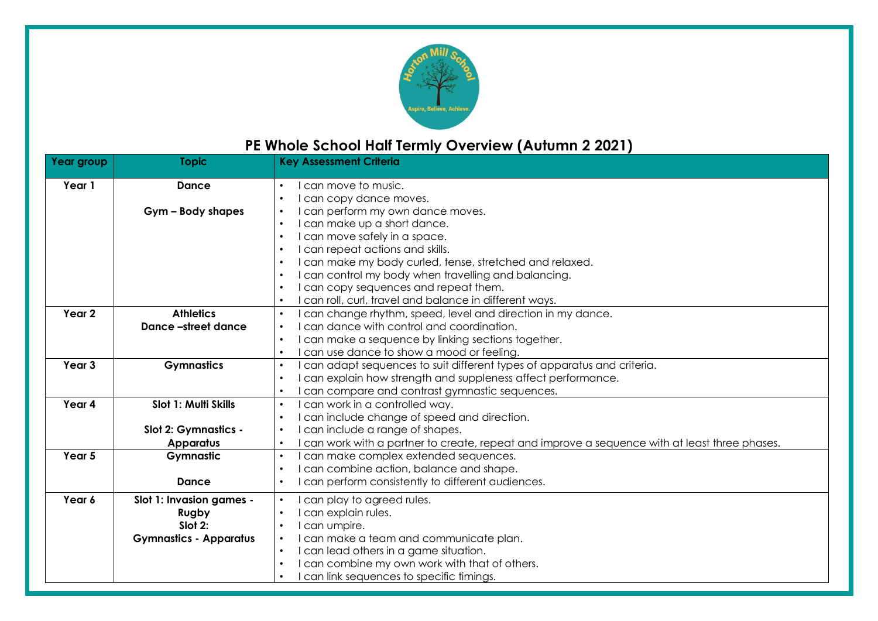

## **PE Whole School Half Termly Overview (Autumn 2 2021)**

| Year group        | <b>Topic</b>                  | <b>Key Assessment Criteria</b>                                                               |
|-------------------|-------------------------------|----------------------------------------------------------------------------------------------|
| Year 1            | <b>Dance</b>                  | I can move to music.<br>$\bullet$                                                            |
|                   |                               | I can copy dance moves.                                                                      |
|                   | Gym - Body shapes             | I can perform my own dance moves.                                                            |
|                   |                               | I can make up a short dance.<br>$\bullet$                                                    |
|                   |                               | I can move safely in a space.<br>$\bullet$                                                   |
|                   |                               | I can repeat actions and skills.<br>$\bullet$                                                |
|                   |                               | I can make my body curled, tense, stretched and relaxed.                                     |
|                   |                               | I can control my body when travelling and balancing.<br>$\bullet$                            |
|                   |                               | I can copy sequences and repeat them.<br>$\bullet$                                           |
|                   |                               | can roll, curl, travel and balance in different ways.                                        |
| Year 2            | <b>Athletics</b>              | can change rhythm, speed, level and direction in my dance.<br>$\bullet$                      |
|                   | <b>Dance -street dance</b>    | can dance with control and coordination.                                                     |
|                   |                               | I can make a sequence by linking sections together.<br>$\bullet$                             |
|                   |                               | can use dance to show a mood or feeling.<br>$\bullet$                                        |
| Year <sub>3</sub> | <b>Gymnastics</b>             | can adapt sequences to suit different types of apparatus and criteria.<br>$\bullet$          |
|                   |                               | can explain how strength and suppleness affect performance.                                  |
|                   |                               | can compare and contrast gymnastic sequences.<br>$\bullet$                                   |
| Year 4            | Slot 1: Multi Skills          | I can work in a controlled way.<br>$\bullet$                                                 |
|                   |                               | I can include change of speed and direction.<br>$\bullet$                                    |
|                   | Slot 2: Gymnastics -          | I can include a range of shapes.                                                             |
|                   | <b>Apparatus</b>              | can work with a partner to create, repeat and improve a sequence with at least three phases. |
| Year 5            | Gymnastic                     | I can make complex extended sequences.<br>$\bullet$                                          |
|                   |                               | I can combine action, balance and shape.                                                     |
|                   | <b>Dance</b>                  | I can perform consistently to different audiences.                                           |
| Year 6            | Slot 1: Invasion games -      | can play to agreed rules.                                                                    |
|                   | Rugby                         | I can explain rules.<br>$\bullet$                                                            |
|                   | Slot 2:                       | I can umpire.<br>$\bullet$                                                                   |
|                   | <b>Gymnastics - Apparatus</b> | I can make a team and communicate plan.                                                      |
|                   |                               | I can lead others in a game situation.<br>$\bullet$                                          |
|                   |                               | I can combine my own work with that of others.<br>$\bullet$                                  |
|                   |                               | can link sequences to specific timings.                                                      |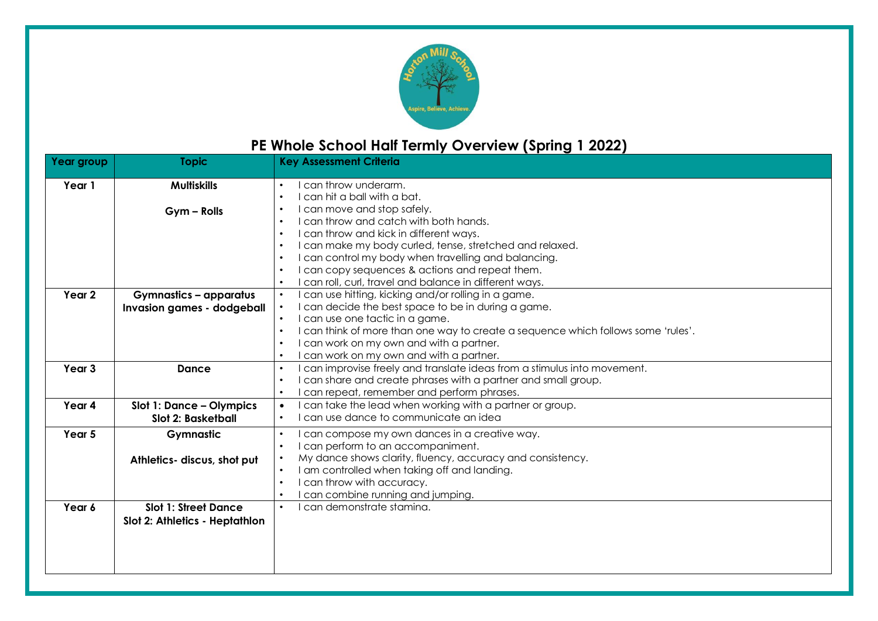

# **PE Whole School Half Termly Overview (Spring 1 2022)**

| I can throw underarm.<br><b>Multiskills</b><br>Year 1<br>$\bullet$<br>I can hit a ball with a bat.<br>$\bullet$<br>I can move and stop safely.<br>$\bullet$<br>Gym - Rolls<br>I can throw and catch with both hands.<br>$\bullet$<br>I can throw and kick in different ways.<br>$\bullet$<br>I can make my body curled, tense, stretched and relaxed.<br>$\bullet$<br>I can control my body when travelling and balancing.<br>$\bullet$<br>I can copy sequences & actions and repeat them.<br>$\bullet$<br>I can roll, curl, travel and balance in different ways.<br>$\bullet$<br>I can use hitting, kicking and/or rolling in a game.<br>Year 2<br><b>Gymnastics - apparatus</b><br>$\bullet$<br>I can decide the best space to be in during a game.<br>Invasion games - dodgeball<br>$\bullet$<br>I can use one tactic in a game.<br>$\bullet$<br>I can think of more than one way to create a sequence which follows some 'rules'.<br>$\bullet$<br>I can work on my own and with a partner.<br>$\bullet$<br>I can work on my own and with a partner.<br>$\bullet$ |  |
|-----------------------------------------------------------------------------------------------------------------------------------------------------------------------------------------------------------------------------------------------------------------------------------------------------------------------------------------------------------------------------------------------------------------------------------------------------------------------------------------------------------------------------------------------------------------------------------------------------------------------------------------------------------------------------------------------------------------------------------------------------------------------------------------------------------------------------------------------------------------------------------------------------------------------------------------------------------------------------------------------------------------------------------------------------------------------|--|
|                                                                                                                                                                                                                                                                                                                                                                                                                                                                                                                                                                                                                                                                                                                                                                                                                                                                                                                                                                                                                                                                       |  |
|                                                                                                                                                                                                                                                                                                                                                                                                                                                                                                                                                                                                                                                                                                                                                                                                                                                                                                                                                                                                                                                                       |  |
|                                                                                                                                                                                                                                                                                                                                                                                                                                                                                                                                                                                                                                                                                                                                                                                                                                                                                                                                                                                                                                                                       |  |
|                                                                                                                                                                                                                                                                                                                                                                                                                                                                                                                                                                                                                                                                                                                                                                                                                                                                                                                                                                                                                                                                       |  |
|                                                                                                                                                                                                                                                                                                                                                                                                                                                                                                                                                                                                                                                                                                                                                                                                                                                                                                                                                                                                                                                                       |  |
|                                                                                                                                                                                                                                                                                                                                                                                                                                                                                                                                                                                                                                                                                                                                                                                                                                                                                                                                                                                                                                                                       |  |
|                                                                                                                                                                                                                                                                                                                                                                                                                                                                                                                                                                                                                                                                                                                                                                                                                                                                                                                                                                                                                                                                       |  |
|                                                                                                                                                                                                                                                                                                                                                                                                                                                                                                                                                                                                                                                                                                                                                                                                                                                                                                                                                                                                                                                                       |  |
|                                                                                                                                                                                                                                                                                                                                                                                                                                                                                                                                                                                                                                                                                                                                                                                                                                                                                                                                                                                                                                                                       |  |
|                                                                                                                                                                                                                                                                                                                                                                                                                                                                                                                                                                                                                                                                                                                                                                                                                                                                                                                                                                                                                                                                       |  |
|                                                                                                                                                                                                                                                                                                                                                                                                                                                                                                                                                                                                                                                                                                                                                                                                                                                                                                                                                                                                                                                                       |  |
|                                                                                                                                                                                                                                                                                                                                                                                                                                                                                                                                                                                                                                                                                                                                                                                                                                                                                                                                                                                                                                                                       |  |
|                                                                                                                                                                                                                                                                                                                                                                                                                                                                                                                                                                                                                                                                                                                                                                                                                                                                                                                                                                                                                                                                       |  |
|                                                                                                                                                                                                                                                                                                                                                                                                                                                                                                                                                                                                                                                                                                                                                                                                                                                                                                                                                                                                                                                                       |  |
|                                                                                                                                                                                                                                                                                                                                                                                                                                                                                                                                                                                                                                                                                                                                                                                                                                                                                                                                                                                                                                                                       |  |
| I can improvise freely and translate ideas from a stimulus into movement.<br>Year 3<br><b>Dance</b><br>$\bullet$                                                                                                                                                                                                                                                                                                                                                                                                                                                                                                                                                                                                                                                                                                                                                                                                                                                                                                                                                      |  |
| I can share and create phrases with a partner and small group.<br>$\bullet$                                                                                                                                                                                                                                                                                                                                                                                                                                                                                                                                                                                                                                                                                                                                                                                                                                                                                                                                                                                           |  |
| I can repeat, remember and perform phrases.<br>$\bullet$                                                                                                                                                                                                                                                                                                                                                                                                                                                                                                                                                                                                                                                                                                                                                                                                                                                                                                                                                                                                              |  |
| I can take the lead when working with a partner or group.<br>Slot 1: Dance - Olympics<br>Year 4<br>$\bullet$                                                                                                                                                                                                                                                                                                                                                                                                                                                                                                                                                                                                                                                                                                                                                                                                                                                                                                                                                          |  |
| Lcan use dance to communicate an idea<br><b>Slot 2: Basketball</b><br>$\bullet$                                                                                                                                                                                                                                                                                                                                                                                                                                                                                                                                                                                                                                                                                                                                                                                                                                                                                                                                                                                       |  |
| Year 5<br>$\bullet$<br>I can compose my own dances in a creative way.<br>Gymnastic                                                                                                                                                                                                                                                                                                                                                                                                                                                                                                                                                                                                                                                                                                                                                                                                                                                                                                                                                                                    |  |
| I can perform to an accompaniment.<br>$\bullet$                                                                                                                                                                                                                                                                                                                                                                                                                                                                                                                                                                                                                                                                                                                                                                                                                                                                                                                                                                                                                       |  |
| My dance shows clarity, fluency, accuracy and consistency.<br>$\bullet$<br>Athletics- discus, shot put                                                                                                                                                                                                                                                                                                                                                                                                                                                                                                                                                                                                                                                                                                                                                                                                                                                                                                                                                                |  |
| I am controlled when taking off and landing.<br>$\bullet$                                                                                                                                                                                                                                                                                                                                                                                                                                                                                                                                                                                                                                                                                                                                                                                                                                                                                                                                                                                                             |  |
| I can throw with accuracy.<br>$\bullet$                                                                                                                                                                                                                                                                                                                                                                                                                                                                                                                                                                                                                                                                                                                                                                                                                                                                                                                                                                                                                               |  |
| I can combine running and jumping.<br>$\bullet$                                                                                                                                                                                                                                                                                                                                                                                                                                                                                                                                                                                                                                                                                                                                                                                                                                                                                                                                                                                                                       |  |
| I can demonstrate stamina.<br>Year 6<br><b>Slot 1: Street Dance</b><br>$\bullet$                                                                                                                                                                                                                                                                                                                                                                                                                                                                                                                                                                                                                                                                                                                                                                                                                                                                                                                                                                                      |  |
| Slot 2: Athletics - Heptathlon                                                                                                                                                                                                                                                                                                                                                                                                                                                                                                                                                                                                                                                                                                                                                                                                                                                                                                                                                                                                                                        |  |
|                                                                                                                                                                                                                                                                                                                                                                                                                                                                                                                                                                                                                                                                                                                                                                                                                                                                                                                                                                                                                                                                       |  |
|                                                                                                                                                                                                                                                                                                                                                                                                                                                                                                                                                                                                                                                                                                                                                                                                                                                                                                                                                                                                                                                                       |  |
|                                                                                                                                                                                                                                                                                                                                                                                                                                                                                                                                                                                                                                                                                                                                                                                                                                                                                                                                                                                                                                                                       |  |
|                                                                                                                                                                                                                                                                                                                                                                                                                                                                                                                                                                                                                                                                                                                                                                                                                                                                                                                                                                                                                                                                       |  |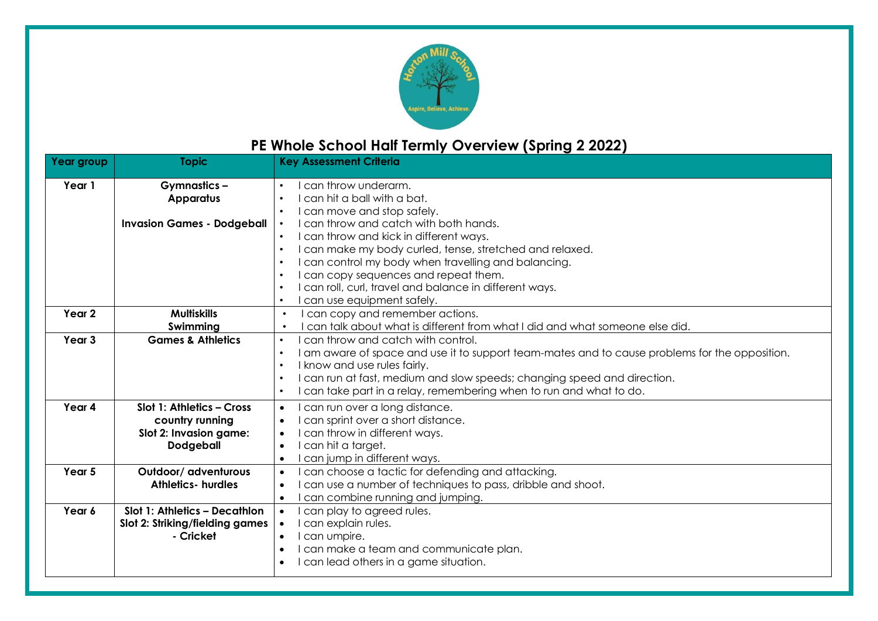

# **PE Whole School Half Termly Overview (Spring 2 2022)**

| Year group        | <b>Topic</b>                           | - - - - - - - 1 - - - - <b>-</b> -<br><b>Key Assessment Criteria</b>                                                                                                      |
|-------------------|----------------------------------------|---------------------------------------------------------------------------------------------------------------------------------------------------------------------------|
| Year 1            | <b>Gymnastics-</b><br><b>Apparatus</b> | I can throw underarm.<br>$\bullet$<br>I can hit a ball with a bat.<br>$\bullet$                                                                                           |
|                   |                                        | I can move and stop safely.<br>$\bullet$                                                                                                                                  |
|                   | <b>Invasion Games - Dodgeball</b>      | I can throw and catch with both hands.                                                                                                                                    |
|                   |                                        | I can throw and kick in different ways.<br>$\bullet$                                                                                                                      |
|                   |                                        | I can make my body curled, tense, stretched and relaxed.<br>$\bullet$                                                                                                     |
|                   |                                        | I can control my body when travelling and balancing.<br>$\bullet$                                                                                                         |
|                   |                                        | I can copy sequences and repeat them.<br>$\bullet$                                                                                                                        |
|                   |                                        | I can roll, curl, travel and balance in different ways.<br>$\bullet$                                                                                                      |
|                   |                                        | I can use equipment safely.<br>$\bullet$                                                                                                                                  |
| Year 2            | <b>Multiskills</b>                     | I can copy and remember actions.<br>$\bullet$                                                                                                                             |
|                   | Swimming                               | can talk about what is different from what I did and what someone else did.<br>$\bullet$                                                                                  |
| Year <sub>3</sub> | <b>Games &amp; Athletics</b>           | I can throw and catch with control.<br>$\bullet$                                                                                                                          |
|                   |                                        | I am aware of space and use it to support team-mates and to cause problems for the opposition.<br>$\bullet$                                                               |
|                   |                                        | I know and use rules fairly.<br>$\bullet$                                                                                                                                 |
|                   |                                        | I can run at fast, medium and slow speeds; changing speed and direction.<br>$\bullet$<br>I can take part in a relay, remembering when to run and what to do.<br>$\bullet$ |
|                   |                                        |                                                                                                                                                                           |
| Year 4            | Slot 1: Athletics - Cross              | I can run over a long distance.<br>$\bullet$                                                                                                                              |
|                   | country running                        | I can sprint over a short distance.<br>$\bullet$                                                                                                                          |
|                   | Slot 2: Invasion game:                 | I can throw in different ways.<br>$\bullet$                                                                                                                               |
|                   | <b>Dodgeball</b>                       | I can hit a target.<br>$\bullet$<br>I can jump in different ways.<br>$\bullet$                                                                                            |
| Year 5            | Outdoor/ adventurous                   | I can choose a tactic for defending and attacking.<br>$\bullet$                                                                                                           |
|                   | <b>Athletics- hurdles</b>              | I can use a number of techniques to pass, dribble and shoot.<br>$\bullet$                                                                                                 |
|                   |                                        | I can combine running and jumping.<br>$\bullet$                                                                                                                           |
| Year 6            | Slot 1: Athletics - Decathlon          | I can play to agreed rules.<br>$\bullet$                                                                                                                                  |
|                   | Slot 2: Striking/fielding games        | can explain rules.                                                                                                                                                        |
|                   | - Cricket                              | I can umpire.<br>$\bullet$                                                                                                                                                |
|                   |                                        | I can make a team and communicate plan.<br>$\bullet$                                                                                                                      |
|                   |                                        | I can lead others in a game situation.<br>$\bullet$                                                                                                                       |
|                   |                                        |                                                                                                                                                                           |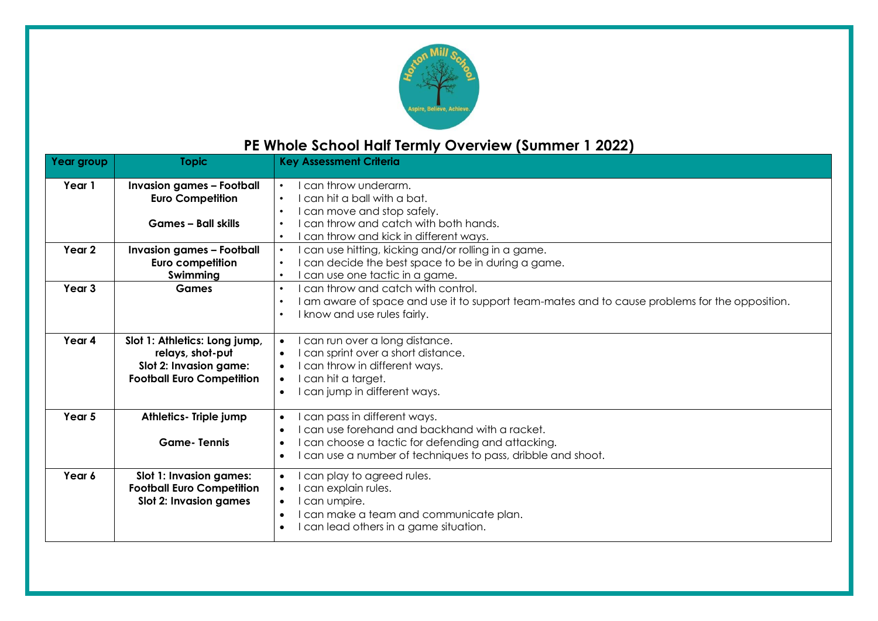

## **PE Whole School Half Termly Overview (Summer 1 2022)**

| Year group        | <b>Topic</b>                                                                                                    | <b>Key Assessment Criteria</b>                                                                                                                                                                                                                          |
|-------------------|-----------------------------------------------------------------------------------------------------------------|---------------------------------------------------------------------------------------------------------------------------------------------------------------------------------------------------------------------------------------------------------|
| Year 1            | <b>Invasion games - Football</b><br><b>Euro Competition</b><br><b>Games - Ball skills</b>                       | I can throw underarm.<br>$\bullet$<br>I can hit a ball with a bat.<br>$\bullet$<br>I can move and stop safely.<br>$\bullet$<br>I can throw and catch with both hands.<br>$\bullet$<br>I can throw and kick in different ways.<br>$\bullet$              |
| Year <sub>2</sub> | <b>Invasion games - Football</b><br>Euro competition<br>Swimming                                                | can use hitting, kicking and/or rolling in a game.<br>$\bullet$<br>I can decide the best space to be in during a game.<br>$\bullet$<br>I can use one tactic in a game.<br>$\bullet$                                                                     |
| Year <sub>3</sub> | <b>Games</b>                                                                                                    | I can throw and catch with control.<br>$\bullet$<br>I am aware of space and use it to support team-mates and to cause problems for the opposition.<br>$\bullet$<br>I know and use rules fairly.<br>$\bullet$                                            |
| Year 4            | Slot 1: Athletics: Long jump,<br>relays, shot-put<br>Slot 2: Invasion game:<br><b>Football Euro Competition</b> | I can run over a long distance.<br>$\bullet$<br>I can sprint over a short distance.<br>$\bullet$<br>I can throw in different ways.<br>$\bullet$<br>I can hit a target.<br>$\bullet$<br>I can jump in different ways.<br>$\bullet$                       |
| Year 5            | Athletics- Triple jump<br><b>Game-Tennis</b>                                                                    | I can pass in different ways.<br>$\bullet$<br>I can use forehand and backhand with a racket.<br>$\bullet$<br>I can choose a tactic for defending and attacking.<br>$\bullet$<br>can use a number of techniques to pass, dribble and shoot.<br>$\bullet$ |
| Year 6            | Slot 1: Invasion games:<br><b>Football Euro Competition</b><br>Slot 2: Invasion games                           | I can play to agreed rules.<br>$\bullet$<br>I can explain rules.<br>$\bullet$<br>I can umpire.<br>$\bullet$<br>I can make a team and communicate plan.<br>$\bullet$<br>can lead others in a game situation.<br>$\bullet$                                |